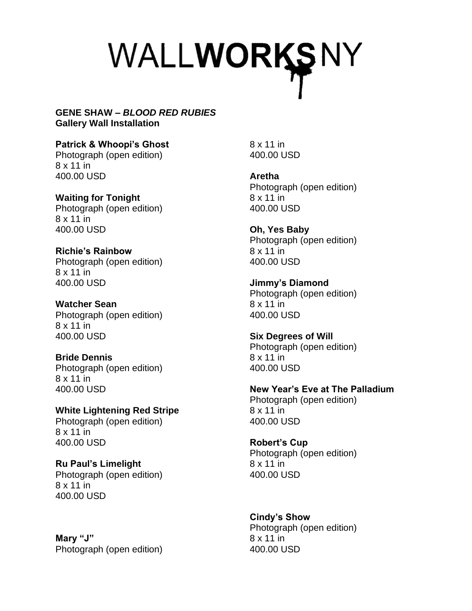## WALLWORKSNY

## **GENE SHAW –** *BLOOD RED RUBIES* **Gallery Wall Installation**

**Patrick & Whoopi's Ghost** Photograph (open edition) 8 x 11 in 400.00 USD

**Waiting for Tonight** Photograph (open edition) 8 x 11 in 400.00 USD

**Richie's Rainbow** Photograph (open edition) 8 x 11 in 400.00 USD

**Watcher Sean** Photograph (open edition) 8 x 11 in 400.00 USD

**Bride Dennis** Photograph (open edition) 8 x 11 in 400.00 USD

**White Lightening Red Stripe** Photograph (open edition) 8 x 11 in 400.00 USD

**Ru Paul's Limelight** Photograph (open edition) 8 x 11 in 400.00 USD

**Mary "J"** Photograph (open edition) 8 x 11 in 400.00 USD

**Aretha** Photograph (open edition) 8 x 11 in 400.00 USD

**Oh, Yes Baby** Photograph (open edition) 8 x 11 in 400.00 USD

**Jimmy's Diamond** Photograph (open edition) 8 x 11 in 400.00 USD

**Six Degrees of Will** Photograph (open edition) 8 x 11 in 400.00 USD

**New Year's Eve at The Palladium** Photograph (open edition) 8 x 11 in 400.00 USD

**Robert's Cup** Photograph (open edition) 8 x 11 in 400.00 USD

**Cindy's Show** Photograph (open edition) 8 x 11 in 400.00 USD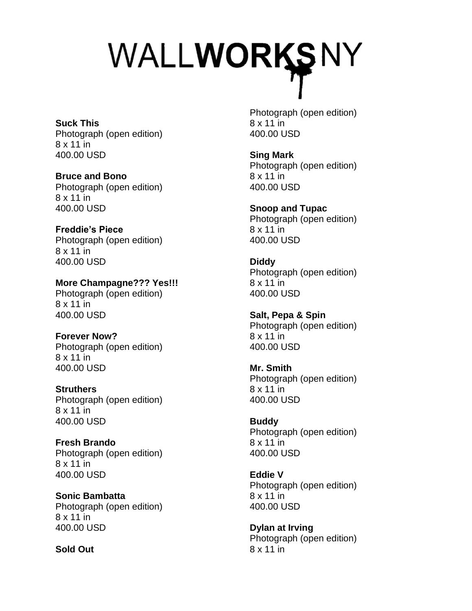## WALLWORKSNY

**Suck This** Photograph (open edition) 8 x 11 in 400.00 USD

**Bruce and Bono** Photograph (open edition) 8 x 11 in 400.00 USD

**Freddie's Piece** Photograph (open edition) 8 x 11 in 400.00 USD

**More Champagne??? Yes!!!** Photograph (open edition) 8 x 11 in 400.00 USD

**Forever Now?** Photograph (open edition) 8 x 11 in 400.00 USD

**Struthers** Photograph (open edition) 8 x 11 in 400.00 USD

**Fresh Brando** Photograph (open edition) 8 x 11 in 400.00 USD

**Sonic Bambatta** Photograph (open edition) 8 x 11 in 400.00 USD

**Sold Out**

Photograph (open edition) 8 x 11 in 400.00 USD

**Sing Mark** Photograph (open edition) 8 x 11 in 400.00 USD

**Snoop and Tupac** Photograph (open edition) 8 x 11 in 400.00 USD

**Diddy** Photograph (open edition) 8 x 11 in 400.00 USD

**Salt, Pepa & Spin** Photograph (open edition) 8 x 11 in 400.00 USD

**Mr. Smith** Photograph (open edition) 8 x 11 in 400.00 USD

**Buddy** Photograph (open edition) 8 x 11 in 400.00 USD

**Eddie V** Photograph (open edition) 8 x 11 in 400.00 USD

**Dylan at Irving** Photograph (open edition) 8 x 11 in